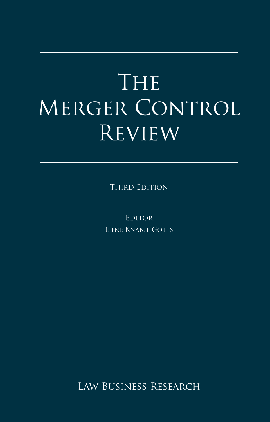## The MERGER CONTROL **REVIEW**

THIRD EDITION

**EDITOR** Ilene Knable Gotts

<span id="page-0-0"></span>Law Business Research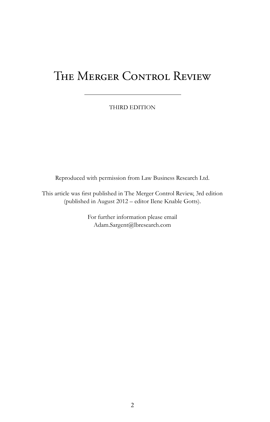## THE MERGER CONTROL REVIEW

THIRD edition

Reproduced with permission from Law Business Research Ltd.

This article was first published in The Merger Control Review, 3rd edition (published in August 2012 – editor Ilene Knable Gotts).

> For further information please email Adam.Sargent@lbresearch.com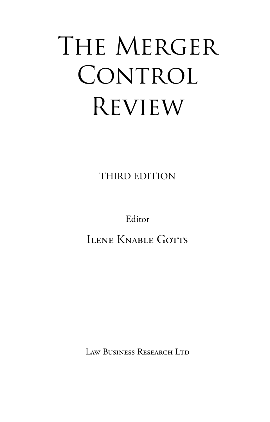# The Merger CONTROL **REVIEW**

THIRD EDITION

Editor Ilene Knable Gotts

Law Business Research Ltd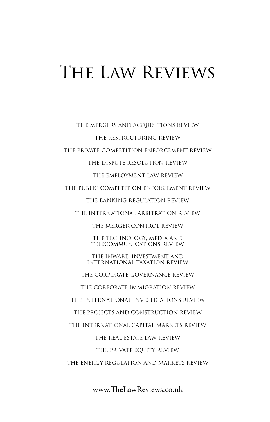## The Law Reviews

The Mergers and Acquisitions Review The Restructuring Review The Private Competition Enforcement Review The Dispute Resolution Review The Employment Law Review The Public Competition Enforcement Review The Banking Regulation Review The International Arbitration Review The Merger Control Review The Technology, Media and Telecommunications Review The Inward Investment and International Taxation Review The Corporate Governance Review The Corporate Immigration Review The International Investigations Review The Projects and Construction Review The International Capital Markets Review The Real Estate Law Review THE PRIVATE EQUITY REVIEW The Energy Regulation and Markets Review

www.TheLawReviews.co.uk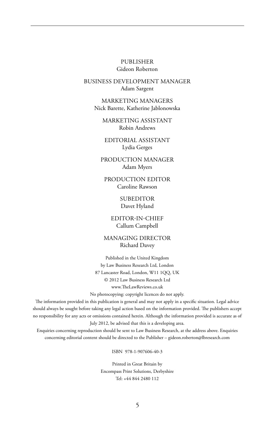#### Publisher Gideon Roberton

business development manager Adam Sargent

MARKETING managers Nick Barette, Katherine Jablonowska

marketing assistant Robin Andrews

editorial assistant Lydia Gerges

production manager Adam Myers

production editor Caroline Rawson

> **SUBEDITOR** Davet Hyland

editor-in-chief Callum Campbell

managing director Richard Davey

Published in the United Kingdom by Law Business Research Ltd, London 87 Lancaster Road, London, W11 1QQ, UK © 2012 Law Business Research Ltd www.TheLawReviews.co.uk No photocopying: copyright licences do not apply.

The information provided in this publication is general and may not apply in a specific situation. Legal advice should always be sought before taking any legal action based on the information provided. The publishers accept no responsibility for any acts or omissions contained herein. Although the information provided is accurate as of July 2012, be advised that this is a developing area.

Enquiries concerning reproduction should be sent to Law Business Research, at the address above. Enquiries concerning editorial content should be directed to the Publisher – gideon.roberton@lbresearch.com

ISBN 978-1-907606-40-3

Printed in Great Britain by Encompass Print Solutions, Derbyshire Tel: +44 844 2480 112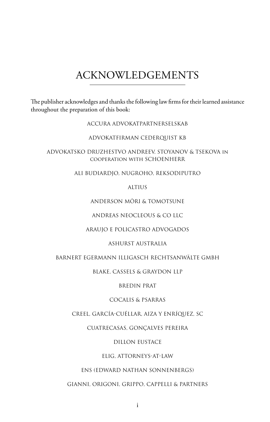### acknowledgements

The publisher acknowledges and thanks the following law firms for their learned assistance throughout the preparation of this book:

Accura Advokatpartnerselskab

Advokatfirman Cederquist KB

Advokatsko Druzhestvo Andreev, Stoyanov & Tsekova in cooperation with Schoenherr

Ali Budiardjo, Nugroho, Reksodiputro

**ALTIUS** 

Anderson Mōri & Tomotsune

Andreas Neocleous & Co LLC

Araujo e Policastro Advogados

Ashurst Australia

Barnert Egermann Illigasch Rechtsanwälte GmbH

Blake, Cassels & Graydon LLP

Bredin Prat

Cocalis & Psarras

Creel, García-Cuéllar, Aiza Y Enríquez, SC

Cuatrecasas, Gonçalves Pereira

Dillon Eustace

ELIG, Attorneys-at-Law

ENS (Edward Nathan Sonnenbergs)

Gianni, Origoni, Grippo, Cappelli & Partners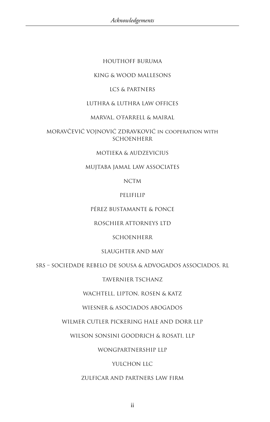#### Houthoff Buruma

#### KING & WOOD Mallesons

#### LCS & Partners

#### Luthra & Luthra Law Offices

#### Marval, O'Farrell & Mairal

#### Moravčević Vojnović Zdravković in cooperation with **SCHOENHERR**

#### Motieka & Audzevicius

#### Mujtaba Jamal Law Associates

NCTM

#### PeliFilip

#### Pérez Bustamante & Ponce

#### Roschier Attorneys Ltd

#### **SCHOENHERR**

#### Slaughter and May

#### SRS – Sociedade Rebelo de Sousa & Advogados Associados, RL

#### Tavernier Tschanz

#### WACHTELL, LIPTON, ROSEN & KATZ

#### Wiesner & Asociados Abogados

#### Wilmer Cutler Pickering Hale and Dorr LLP

Wilson Sonsini Goodrich & Rosati, LLP

#### WongPartnership LLP

#### YULCHON LLC

#### Zulficar and Partners Law Firm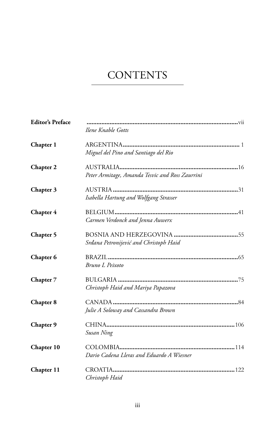## **CONTENTS**

| <b>Editor's Preface</b> |                                                 |
|-------------------------|-------------------------------------------------|
|                         | Ilene Knable Gotts                              |
| Chapter 1               |                                                 |
|                         | Miguel del Pino and Santiago del Rio            |
| <b>Chapter 2</b>        |                                                 |
|                         | Peter Armitage, Amanda Tesvic and Ross Zaurrini |
| Chapter 3               |                                                 |
|                         | Isabella Hartung and Wolfgang Strasser          |
| Chapter 4               |                                                 |
|                         | Carmen Verdonck and Jenna Auwerx                |
| Chapter 5               |                                                 |
|                         | Srdana Petronijević and Christoph Haid          |
| Chapter 6               |                                                 |
|                         | Bruno L Peixoto                                 |
| Chapter 7               |                                                 |
|                         | Christoph Haid and Mariya Papazova              |
| Chapter 8               |                                                 |
|                         | Julie A Soloway and Cassandra Brown             |
| Chapter 9               |                                                 |
|                         | Susan Ning                                      |
| Chapter 10              | 114                                             |
|                         | Dario Cadena Lleras and Eduardo A Wiesner       |
| Chapter 11              |                                                 |
|                         | Christoph Haid                                  |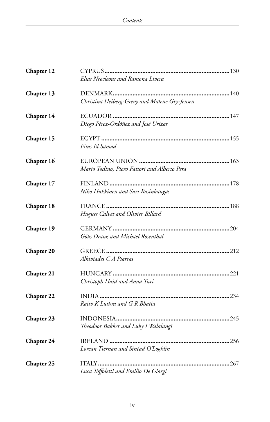| Chapter 12        |                                               |  |
|-------------------|-----------------------------------------------|--|
|                   | Elias Neocleous and Ramona Livera             |  |
| Chapter 13        |                                               |  |
|                   | Christina Heiberg-Grevy and Malene Gry-Jensen |  |
| Chapter 14        |                                               |  |
|                   | Diego Pérez-Ordóñez and José Urízar           |  |
| Chapter 15        |                                               |  |
|                   | Firas El Samad                                |  |
| Chapter 16        |                                               |  |
|                   | Mario Todino, Piero Fattori and Alberto Pera  |  |
| Chapter 17        |                                               |  |
|                   | Niko Hukkinen and Sari Rasinkangas            |  |
| Chapter 18        |                                               |  |
|                   | Hugues Calvet and Olivier Billard             |  |
| Chapter 19        |                                               |  |
|                   | Götz Drauz and Michael Rosenthal              |  |
| <b>Chapter 20</b> |                                               |  |
|                   | Alkiviades C A Psarras                        |  |
| Chapter 21        |                                               |  |
|                   | Christoph Haid and Anna Turi                  |  |
| <b>Chapter 22</b> |                                               |  |
|                   | Rajiv K Luthra and G R Bhatia                 |  |
| Chapter 23        |                                               |  |
|                   | Theodoor Bakker and Luky I Walalangi          |  |
| <b>Chapter 24</b> |                                               |  |
|                   | Lorcan Tiernan and Sinéad O'Loghlin           |  |
| Chapter 25        |                                               |  |
|                   | Luca Toffoletti and Emilio De Giorgi          |  |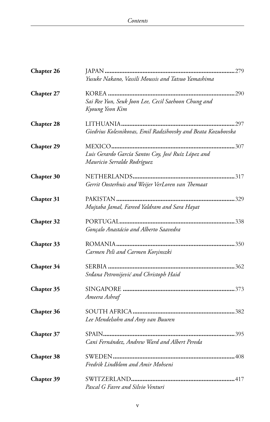| Chapter 26        | Yusuke Nakano, Vassili Moussis and Tatsuo Yamashima                                |
|-------------------|------------------------------------------------------------------------------------|
| Chapter 27        | Sai Ree Yun, Seuk Joon Lee, Cecil Saehoon Chung and<br>Kyoung Yeon Kim             |
| <b>Chapter 28</b> | Giedrius Kolesnikovas, Emil Radzihovsky and Beata Kozubovska                       |
| Chapter 29        | Luis Gerardo García Santos Coy, José Ruíz López and<br>Mauricio Serralde Rodríguez |
| Chapter 30        | Gerrit Oosterhuis and Weijer VerLoren van Themaat                                  |
| Chapter 31        | 329<br>Mujtaba Jamal, Fareed Yaldram and Sara Hayat                                |
| Chapter 32        | Gonçalo Anastácio and Alberto Saavedra                                             |
| Chapter 33        | Carmen Peli and Carmen Korşinszki                                                  |
| Chapter 34        | Srđana Petronijević and Christoph Haid                                             |
| Chapter 35        | Ameera Ashraf                                                                      |
| Chapter 36        | Lee Mendelsohn and Amy van Buuren                                                  |
| Chapter 37        | Cani Fernández, Andrew Ward and Albert Pereda                                      |
| Chapter 38        | Fredrik Lindblom and Amir Mohseni                                                  |
| Chapter 39        | Pascal G Favre and Silvio Venturi                                                  |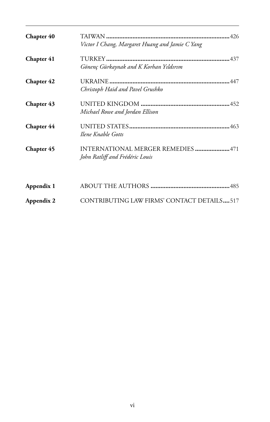| Chapter 40        | Victor I Chang, Margaret Huang and Jamie C Yang                      |
|-------------------|----------------------------------------------------------------------|
| Chapter 41        | Gönenç Gürkaynak and K Korhan Yıldırım                               |
| <b>Chapter 42</b> | Christoph Haid and Pavel Grushko                                     |
| Chapter 43        | Michael Rowe and Jordan Ellison                                      |
| <b>Chapter</b> 44 | Ilene Knable Gotts                                                   |
| Chapter 45        | INTERNATIONAL MERGER REMEDIES 471<br>John Ratliff and Frédéric Louis |
| Appendix 1        |                                                                      |
| Appendix 2        | CONTRIBUTING LAW FIRMS' CONTACT DETAILS517                           |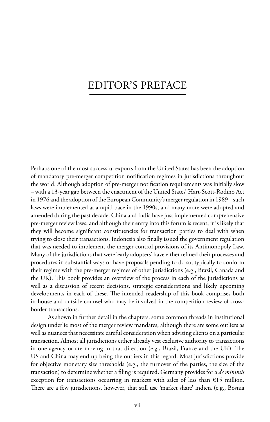## Editor's Preface

Perhaps one of the most successful exports from the United States has been the adoption of mandatory pre-merger competition notification regimes in jurisdictions throughout the world. Although adoption of pre-merger notification requirements was initially slow – with a 13-year gap between the enactment of the United States' Hart-Scott-Rodino Act in 1976 and the adoption of the European Community's merger regulation in 1989 – such laws were implemented at a rapid pace in the 1990s, and many more were adopted and amended during the past decade. China and India have just implemented comprehensive pre-merger review laws, and although their entry into this forum is recent, it is likely that they will become significant constituencies for transaction parties to deal with when trying to close their transactions. Indonesia also finally issued the government regulation that was needed to implement the merger control provisions of its Antimonopoly Law. Many of the jurisdictions that were 'early adopters' have either refined their processes and procedures in substantial ways or have proposals pending to do so, typically to conform their regime with the pre-merger regimes of other jurisdictions (e.g., Brazil, Canada and the UK). This book provides an overview of the process in each of the jurisdictions as well as a discussion of recent decisions, strategic considerations and likely upcoming developments in each of these. The intended readership of this book comprises both in-house and outside counsel who may be involved in the competition review of crossborder transactions.

As shown in further detail in the chapters, some common threads in institutional design underlie most of the merger review mandates, although there are some outliers as well as nuances that necessitate careful consideration when advising clients on a particular transaction. Almost all jurisdictions either already vest exclusive authority to transactions in one agency or are moving in that direction (e.g., Brazil, France and the UK). The US and China may end up being the outliers in this regard. Most jurisdictions provide for objective monetary size thresholds (e.g., the turnover of the parties, the size of the transaction) to determine whether a filing is required. Germany provides for a *de minimis* exception for transactions occurring in markets with sales of less than  $\epsilon$ 15 million. There are a few jurisdictions, however, that still use 'market share' indicia (e.g., Bosnia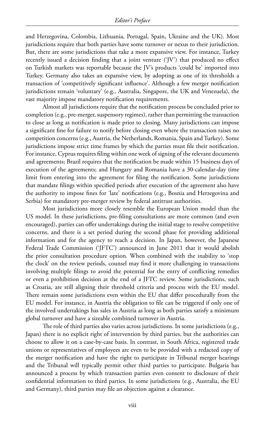and Herzegovina, Colombia, Lithuania, Portugal, Spain, Ukraine and the UK). Most jurisdictions require that both parties have some turnover or nexus to their jurisdiction. But, there are some jurisdictions that take a more expansive view. For instance, Turkey recently issued a decision finding that a joint venture ('JV') that produced no effect on Turkish markets was reportable because the JV's products 'could be' imported into Turkey. Germany also takes an expansive view, by adopting as one of its thresholds a transaction of 'competitively significant influence'. Although a few merger notification jurisdictions remain 'voluntary' (e.g., Australia, Singapore, the UK and Venezuela), the vast majority impose mandatory notification requirements.

Almost all jurisdictions require that the notification process be concluded prior to completion (e.g., pre-merger, suspensory regimes), rather than permitting the transaction to close as long as notification is made prior to closing. Many jurisdictions can impose a significant fine for failure to notify before closing even where the transaction raises no competition concerns (e.g., Austria, the Netherlands, Romania, Spain and Turkey). Some jurisdictions impose strict time frames by which the parties must file their notification. For instance, Cyprus requires filing within one week of signing of the relevant documents and agreements; Brazil requires that the notification be made within 15 business days of execution of the agreements; and Hungary and Romania have a 30-calendar-day time limit from entering into the agreement for filing the notification. Some jurisdictions that mandate filings within specified periods after execution of the agreement also have the authority to impose fines for 'late' notifications (e.g., Bosnia and Herzegovina and Serbia) for mandatory pre-merger review by federal antitrust authorities.

Most jurisdictions more closely resemble the European Union model than the US model. In these jurisdictions, pre-filing consultations are more common (and even encouraged), parties can offer undertakings during the initial stage to resolve competitive concerns, and there is a set period during the second phase for providing additional information and for the agency to reach a decision. In Japan, however, the Japanese Federal Trade Commission ('JFTC') announced in June 2011 that it would abolish the prior consultation procedure option. When combined with the inability to 'stop the clock' on the review periods, counsel may find it more challenging in transactions involving multiple filings to avoid the potential for the entry of conflicting remedies or even a prohibition decision at the end of a JFTC review. Some jurisdictions, such as Croatia, are still aligning their threshold criteria and process with the EU model. There remain some jurisdictions even within the EU that differ procedurally from the EU model. For instance, in Austria the obligation to file can be triggered if only one of the involved undertakings has sales in Austria as long as both parties satisfy a minimum global turnover and have a sizeable combined turnover in Austria.

The role of third parties also varies across jurisdictions. In some jurisdictions (e.g., Japan) there is no explicit right of intervention by third parties, but the authorities can choose to allow it on a case-by-case basis. In contrast, in South Africa, registered trade unions or representatives of employees are even to be provided with a redacted copy of the merger notification and have the right to participate in Tribunal merger hearings and the Tribunal will typically permit other third parties to participate. Bulgaria has announced a process by which transaction parties even consent to disclosure of their confidential information to third parties. In some jurisdictions (e.g., Australia, the EU and Germany), third parties may file an objection against a clearance.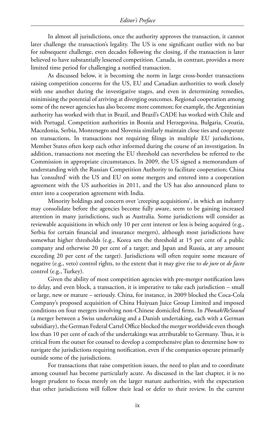In almost all jurisdictions, once the authority approves the transaction, it cannot later challenge the transaction's legality. The US is one significant outlier with no bar for subsequent challenge, even decades following the closing, if the transaction is later believed to have substantially lessened competition. Canada, in contrast, provides a more limited time period for challenging a notified transaction.

As discussed below, it is becoming the norm in large cross-border transactions raising competition concerns for the US, EU and Canadian authorities to work closely with one another during the investigative stages, and even in determining remedies, minimising the potential of arriving at diverging outcomes. Regional cooperation among some of the newer agencies has also become more common; for example, the Argentinian authority has worked with that in Brazil, and Brazil's CADE has worked with Chile and with Portugal. Competition authorities in Bosnia and Herzegovina, Bulgaria, Croatia, Macedonia, Serbia, Montenegro and Slovenia similarly maintain close ties and cooperate on transactions. In transactions not requiring filings in multiple EU jurisdictions, Member States often keep each other informed during the course of an investigation. In addition, transactions not meeting the EU threshold can nevertheless be referred to the Commission in appropriate circumstances. In 2009, the US signed a memorandum of understanding with the Russian Competition Authority to facilitate cooperation; China has 'consulted' with the US and EU on some mergers and entered into a cooperation agreement with the US authorities in 2011, and the US has also announced plans to enter into a cooperation agreement with India.

Minority holdings and concern over 'creeping acquisitions', in which an industry may consolidate before the agencies become fully aware, seem to be gaining increased attention in many jurisdictions, such as Australia. Some jurisdictions will consider as reviewable acquisitions in which only 10 per cent interest or less is being acquired (e.g., Serbia for certain financial and insurance mergers), although most jurisdictions have somewhat higher thresholds (e.g., Korea sets the threshold at 15 per cent of a public company and otherwise 20 per cent of a target; and Japan and Russia, at any amount exceeding 20 per cent of the target). Jurisdictions will often require some measure of negative (e.g., veto) control rights, to the extent that it may give rise to *de jure* or *de facto* control (e.g., Turkey).

Given the ability of most competition agencies with pre-merger notification laws to delay, and even block, a transaction, it is imperative to take each jurisdiction – small or large, new or mature – seriously. China, for instance, in 2009 blocked the Coca-Cola Company's proposed acquisition of China Huiyuan Juice Group Limited and imposed conditions on four mergers involving non-Chinese domiciled firms. In *Phonak/ReSound* (a merger between a Swiss undertaking and a Danish undertaking, each with a German subsidiary), the German Federal Cartel Office blocked the merger worldwide even though less than 10 per cent of each of the undertakings was attributable to Germany. Thus, it is critical from the outset for counsel to develop a comprehensive plan to determine how to navigate the jurisdictions requiring notification, even if the companies operate primarily outside some of the jurisdictions.

For transactions that raise competition issues, the need to plan and to coordinate among counsel has become particularly acute. As discussed in the last chapter, it is no longer prudent to focus merely on the larger mature authorities, with the expectation that other jurisdictions will follow their lead or defer to their review. In the current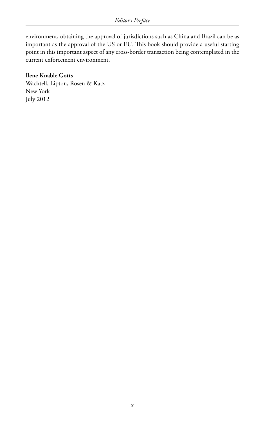environment, obtaining the approval of jurisdictions such as China and Brazil can be as important as the approval of the US or EU. This book should provide a useful starting point in this important aspect of any cross-border transaction being contemplated in the current enforcement environment.

**Ilene Knable Gotts** Wachtell, Lipton, Rosen & Katz New York

July 2012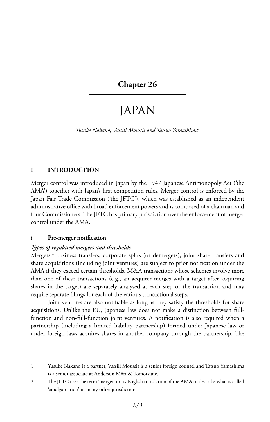#### **Chapter 26**

## **JAPAN**

*Yusuke Nakano, Vassili Moussis and Tatsuo Yamashima1*

#### **I INTRODUCTION**

Merger control was introduced in Japan by the 1947 Japanese Antimonopoly Act ('the AMA') together with Japan's first competition rules. Merger control is enforced by the Japan Fair Trade Commission ('the JFTC'), which was established as an independent administrative office with broad enforcement powers and is composed of a chairman and four Commissioners. The JFTC has primary jurisdiction over the enforcement of merger control under the AMA.

#### **i Pre-merger notification**

#### *Types of regulated mergers and thresholds*

Mergers,2 business transfers, corporate splits (or demergers), joint share transfers and share acquisitions (including joint ventures) are subject to prior notification under the AMA if they exceed certain thresholds. M&A transactions whose schemes involve more than one of these transactions (e.g., an acquirer merges with a target after acquiring shares in the target) are separately analysed at each step of the transaction and may require separate filings for each of the various transactional steps.

Joint ventures are also notifiable as long as they satisfy the thresholds for share acquisitions. Unlike the EU, Japanese law does not make a distinction between fullfunction and non-full-function joint ventures. A notification is also required when a partnership (including a limited liability partnership) formed under Japanese law or under foreign laws acquires shares in another company through the partnership. The

<sup>1</sup> Yusuke Nakano is a partner, Vassili Moussis is a senior foreign counsel and Tatsuo Yamashima is a senior associate at Anderson Mōri & Tomotsune.

<sup>2</sup> The JFTC uses the term 'merger' in its English translation of the AMA to describe what is called 'amalgamation' in many other jurisdictions.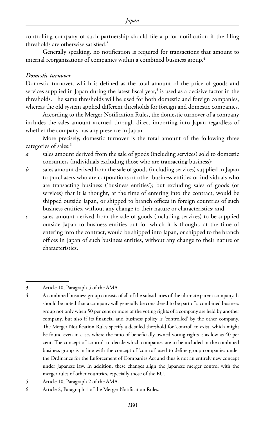controlling company of such partnership should file a prior notification if the filing thresholds are otherwise satisfied.3

Generally speaking, no notification is required for transactions that amount to internal reorganisations of companies within a combined business group.<sup>4</sup>

#### *Domestic turnover*

Domestic turnover, which is defined as the total amount of the price of goods and services supplied in Japan during the latest fiscal year,<sup>5</sup> is used as a decisive factor in the thresholds. The same thresholds will be used for both domestic and foreign companies, whereas the old system applied different thresholds for foreign and domestic companies.

According to the Merger Notification Rules, the domestic turnover of a company includes the sales amount accrued through direct importing into Japan regardless of whether the company has any presence in Japan.

More precisely, domestic turnover is the total amount of the following three categories of sales:<sup>6</sup>

- *a* sales amount derived from the sale of goods (including services) sold to domestic consumers (individuals excluding those who are transacting business);
- *b* sales amount derived from the sale of goods (including services) supplied in Japan to purchasers who are corporations or other business entities or individuals who are transacting business ('business entities'); but excluding sales of goods (or services) that it is thought, at the time of entering into the contract, would be shipped outside Japan, or shipped to branch offices in foreign countries of such business entities, without any change to their nature or characteristics; and
- *c* sales amount derived from the sale of goods (including services) to be supplied outside Japan to business entities but for which it is thought, at the time of entering into the contract, would be shipped into Japan, or shipped to the branch offices in Japan of such business entities, without any change to their nature or characteristics.

<sup>3</sup> Article 10, Paragraph 5 of the AMA.

<sup>4</sup> A combined business group consists of all of the subsidiaries of the ultimate parent company. It should be noted that a company will generally be considered to be part of a combined business group not only when 50 per cent or more of the voting rights of a company are held by another company, but also if its financial and business policy is 'controlled' by the other company. The Merger Notification Rules specify a detailed threshold for 'control' to exist, which might be found even in cases where the ratio of beneficially owned voting rights is as low as 40 per cent. The concept of 'control' to decide which companies are to be included in the combined business group is in line with the concept of 'control' used to define group companies under the Ordinance for the Enforcement of Companies Act and thus is not an entirely new concept under Japanese law. In addition, these changes align the Japanese merger control with the merger rules of other countries, especially those of the EU.

<sup>5</sup> Article 10, Paragraph 2 of the AMA.

<sup>6</sup> Article 2, Paragraph 1 of the Merger Notification Rules.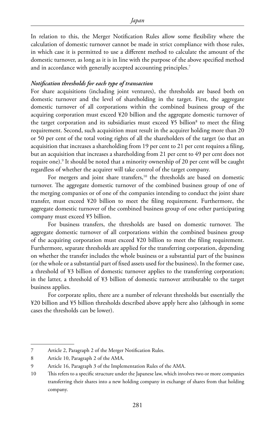In relation to this, the Merger Notification Rules allow some flexibility where the calculation of domestic turnover cannot be made in strict compliance with those rules, in which case it is permitted to use a different method to calculate the amount of the domestic turnover, as long as it is in line with the purpose of the above specified method and in accordance with generally accepted accounting principles.<sup>7</sup>

#### *Notification thresholds for each type of transaction*

For share acquisitions (including joint ventures), the thresholds are based both on domestic turnover and the level of shareholding in the target. First, the aggregate domestic turnover of all corporations within the combined business group of the acquiring corporation must exceed ¥20 billion and the aggregate domestic turnover of the target corporation and its subsidiaries must exceed  $\frac{1}{2}$  billion<sup>8</sup> to meet the filing requirement. Second, such acquisition must result in the acquirer holding more than 20 or 50 per cent of the total voting rights of all the shareholders of the target (so that an acquisition that increases a shareholding from 19 per cent to 21 per cent requires a filing, but an acquisition that increases a shareholding from 21 per cent to 49 per cent does not require one).<sup>9</sup> It should be noted that a minority ownership of 20 per cent will be caught regardless of whether the acquirer will take control of the target company.

For mergers and joint share transfers,<sup>10</sup> the thresholds are based on domestic turnover. The aggregate domestic turnover of the combined business group of one of the merging companies or of one of the companies intending to conduct the joint share transfer, must exceed ¥20 billion to meet the filing requirement. Furthermore, the aggregate domestic turnover of the combined business group of one other participating company must exceed ¥5 billion.

For business transfers, the thresholds are based on domestic turnover. The aggregate domestic turnover of all corporations within the combined business group of the acquiring corporation must exceed ¥20 billion to meet the filing requirement. Furthermore, separate thresholds are applied for the transferring corporation, depending on whether the transfer includes the whole business or a substantial part of the business (or the whole or a substantial part of fixed assets used for the business). In the former case, a threshold of ¥3 billion of domestic turnover applies to the transferring corporation; in the latter, a threshold of ¥3 billion of domestic turnover attributable to the target business applies.

For corporate splits, there are a number of relevant thresholds but essentially the ¥20 billion and ¥5 billion thresholds described above apply here also (although in some cases the thresholds can be lower).

<sup>7</sup> Article 2, Paragraph 2 of the Merger Notification Rules.

<sup>8</sup> Article 10, Paragraph 2 of the AMA.

<sup>9</sup> Article 16, Paragraph 3 of the Implementation Rules of the AMA.

<sup>10</sup> This refers to a specific structure under the Japanese law, which involves two or more companies transferring their shares into a new holding company in exchange of shares from that holding company.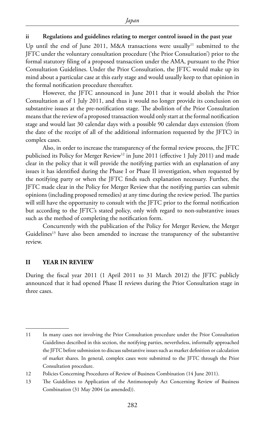#### **ii Regulations and guidelines relating to merger control issued in the past year**

Up until the end of June 2011, M&A transactions were usually<sup>11</sup> submitted to the JFTC under the voluntary consultation procedure ('the Prior Consultation') prior to the formal statutory filing of a proposed transaction under the AMA, pursuant to the Prior Consultation Guidelines. Under the Prior Consultation, the JFTC would make up its mind about a particular case at this early stage and would usually keep to that opinion in the formal notification procedure thereafter.

However, the JFTC announced in June 2011 that it would abolish the Prior Consultation as of 1 July 2011, and thus it would no longer provide its conclusion on substantive issues at the pre-notification stage. The abolition of the Prior Consultation means that the review of a proposed transaction would only start at the formal notification stage and would last 30 calendar days with a possible 90 calendar days extension (from the date of the receipt of all of the additional information requested by the JFTC) in complex cases.

Also, in order to increase the transparency of the formal review process, the JFTC publicised its Policy for Merger Review<sup>12</sup> in June 2011 (effective 1 July 2011) and made clear in the policy that it will provide the notifying parties with an explanation of any issues it has identified during the Phase I or Phase II investigation, when requested by the notifying party or when the JFTC finds such explanation necessary. Further, the JFTC made clear in the Policy for Merger Review that the notifying parties can submit opinions (including proposed remedies) at any time during the review period. The parties will still have the opportunity to consult with the JFTC prior to the formal notification but according to the JFTC's stated policy, only with regard to non-substantive issues such as the method of completing the notification form.

Concurrently with the publication of the Policy for Merger Review, the Merger Guidelines<sup>13</sup> have also been amended to increase the transparency of the substantive review.

#### **II YEAR IN REVIEW**

During the fiscal year 2011 (1 April 2011 to 31 March 2012) the JFTC publicly announced that it had opened Phase II reviews during the Prior Consultation stage in three cases.

<sup>11</sup> In many cases not involving the Prior Consultation procedure under the Prior Consultation Guidelines described in this section, the notifying parties, nevertheless, informally approached the JFTC before submission to discuss substantive issues such as market definition or calculation of market shares. In general, complex cases were submitted to the JFTC through the Prior Consultation procedure.

<sup>12</sup> Policies Concerning Procedures of Review of Business Combination (14 June 2011).

<sup>13</sup> The Guidelines to Application of the Antimonopoly Act Concerning Review of Business Combination (31 May 2004 (as amended)).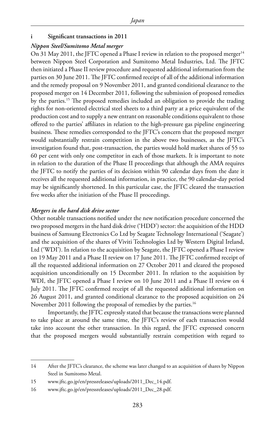#### **i Significant transactions in 2011**

#### *Nippon Steel/Sumitomo Metal merger*

On 31 May 2011, the JFTC opened a Phase I review in relation to the proposed merger<sup>14</sup> between Nippon Steel Corporation and Sumitomo Metal Industries, Ltd. The JFTC then initiated a Phase II review procedure and requested additional information from the parties on 30 June 2011. The JFTC confirmed receipt of all of the additional information and the remedy proposal on 9 November 2011, and granted conditional clearance to the proposed merger on 14 December 2011, following the submission of proposed remedies by the parties.<sup>15</sup> The proposed remedies included an obligation to provide the trading rights for non-oriented electrical steel sheets to a third party at a price equivalent of the production cost and to supply a new entrant on reasonable conditions equivalent to those offered to the parties' affiliates in relation to the high-pressure gas pipeline engineering business. These remedies corresponded to the JFTC's concern that the proposed merger would substantially restrain competition in the above two businesses, as the JFTC's investigation found that, post-transaction, the parties would hold market shares of 55 to 60 per cent with only one competitor in each of those markets. It is important to note in relation to the duration of the Phase II proceedings that although the AMA requires the JFTC to notify the parties of its decision within 90 calendar days from the date it receives all the requested additional information, in practice, the 90 calendar-day period may be significantly shortened. In this particular case, the JFTC cleared the transaction five weeks after the initiation of the Phase II proceedings.

#### *Mergers in the hard disk drive sector*

Other notable transactions notified under the new notification procedure concerned the two proposed mergers in the hard disk drive ('HDD') sector: the acquisition of the HDD business of Samsung Electronics Co Ltd by Seagate Technology International ('Seagate') and the acquisition of the shares of Viviti Technologies Ltd by Western Digital Ireland, Ltd ('WDI'). In relation to the acquisition by Seagate, the JFTC opened a Phase I review on 19 May 2011 and a Phase II review on 17 June 2011. The JFTC confirmed receipt of all the requested additional information on 27 October 2011 and cleared the proposed acquisition unconditionally on 15 December 2011. In relation to the acquisition by WDI, the JFTC opened a Phase I review on 10 June 2011 and a Phase II review on 4 July 2011. The JFTC confirmed receipt of all the requested additional information on 26 August 2011, and granted conditional clearance to the proposed acquisition on 24 November 2011 following the proposal of remedies by the parties.16

Importantly, the JFTC expressly stated that because the transactions were planned to take place at around the same time, the JFTC's review of each transaction would take into account the other transaction. In this regard, the JFTC expressed concern that the proposed mergers would substantially restrain competition with regard to

<sup>14</sup> After the JFTC's clearance, the scheme was later changed to an acquisition of shares by Nippon Steel in Sumitomo Metal.

<sup>15</sup> www.jftc.go.jp/en/pressreleases/uploads/2011\_Dec\_14.pdf.

<sup>16</sup> www.jftc.go.jp/en/pressreleases/uploads/2011\_Dec\_28.pdf.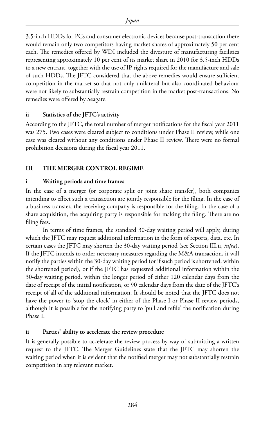3.5-inch HDDs for PCs and consumer electronic devices because post-transaction there would remain only two competitors having market shares of approximately 50 per cent each. The remedies offered by WDI included the divesture of manufacturing facilities representing approximately 10 per cent of its market share in 2010 for 3.5-inch HDDs to a new entrant, together with the use of IP rights required for the manufacture and sale of such HDDs. The JFTC considered that the above remedies would ensure sufficient competition in the market so that not only unilateral but also coordinated behaviour were not likely to substantially restrain competition in the market post-transactions. No remedies were offered by Seagate.

#### **ii Statistics of the JFTC's activity**

According to the JFTC, the total number of merger notifications for the fiscal year 2011 was 275. Two cases were cleared subject to conditions under Phase II review, while one case was cleared without any conditions under Phase II review. There were no formal prohibition decisions during the fiscal year 2011.

#### **III THE MERGER CONTROL REGIME**

#### **i Waiting periods and time frames**

In the case of a merger (or corporate split or joint share transfer), both companies intending to effect such a transaction are jointly responsible for the filing. In the case of a business transfer, the receiving company is responsible for the filing. In the case of a share acquisition, the acquiring party is responsible for making the filing. There are no filing fees.

In terms of time frames, the standard 30-day waiting period will apply, during which the JFTC may request additional information in the form of reports, data, etc. In certain cases the JFTC may shorten the 30-day waiting period (see Section III.ii, *infra*). If the JFTC intends to order necessary measures regarding the M&A transaction, it will notify the parties within the 30-day waiting period (or if such period is shortened, within the shortened period), or if the JFTC has requested additional information within the 30-day waiting period, within the longer period of either 120 calendar days from the date of receipt of the initial notification, or 90 calendar days from the date of the JFTC's receipt of all of the additional information. It should be noted that the JFTC does not have the power to 'stop the clock' in either of the Phase I or Phase II review periods, although it is possible for the notifying party to 'pull and refile' the notification during Phase I.

#### **ii Parties' ability to accelerate the review procedure**

It is generally possible to accelerate the review process by way of submitting a written request to the JFTC. The Merger Guidelines state that the JFTC may shorten the waiting period when it is evident that the notified merger may not substantially restrain competition in any relevant market.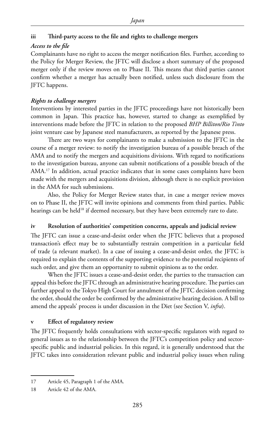#### **iii Third-party access to the file and rights to challenge mergers**

#### *Access to the file*

Complainants have no right to access the merger notification files. Further, according to the Policy for Merger Review, the JFTC will disclose a short summary of the proposed merger only if the review moves on to Phase II. This means that third parties cannot confirm whether a merger has actually been notified, unless such disclosure from the JFTC happens.

#### *Rights to challenge mergers*

Interventions by interested parties in the JFTC proceedings have not historically been common in Japan. This practice has, however, started to change as exemplified by interventions made before the JFTC in relation to the proposed *BHP Billiton/Rio Tinto* joint venture case by Japanese steel manufacturers, as reported by the Japanese press.

There are two ways for complainants to make a submission to the JFTC in the course of a merger review: to notify the investigation bureau of a possible breach of the AMA and to notify the mergers and acquisitions divisions. With regard to notifications to the investigation bureau, anyone can submit notifications of a possible breach of the AMA.17 In addition, actual practice indicates that in some cases complaints have been made with the mergers and acquisitions division, although there is no explicit provision in the AMA for such submissions.

Also, the Policy for Merger Review states that, in case a merger review moves on to Phase II, the JFTC will invite opinions and comments from third parties. Public hearings can be held<sup>18</sup> if deemed necessary, but they have been extremely rare to date.

#### **iv Resolution of authorities' competition concerns, appeals and judicial review**

The JFTC can issue a cease-and-desist order when the JFTC believes that a proposed transaction's effect may be to substantially restrain competition in a particular field of trade (a relevant market). In a case of issuing a cease-and-desist order, the JFTC is required to explain the contents of the supporting evidence to the potential recipients of such order, and give them an opportunity to submit opinions as to the order.

When the JFTC issues a cease-and-desist order, the parties to the transaction can appeal this before the JFTC through an administrative hearing procedure. The parties can further appeal to the Tokyo High Court for annulment of the JFTC decision confirming the order, should the order be confirmed by the administrative hearing decision. A bill to amend the appeals' process is under discussion in the Diet (see Section V, *infra*).

#### **v Effect of regulatory review**

The JFTC frequently holds consultations with sector-specific regulators with regard to general issues as to the relationship between the JFTC's competition policy and sectorspecific public and industrial policies. In this regard, it is generally understood that the JFTC takes into consideration relevant public and industrial policy issues when ruling

<sup>17</sup> Article 45, Paragraph 1 of the AMA.

<sup>18</sup> Article 42 of the AMA.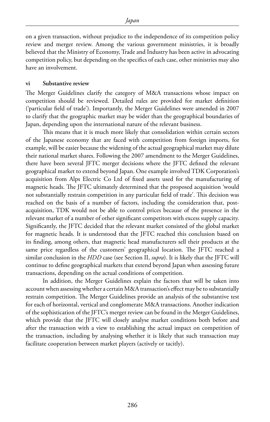on a given transaction, without prejudice to the independence of its competition policy review and merger review. Among the various government ministries, it is broadly believed that the Ministry of Economy, Trade and Industry has been active in advocating competition policy, but depending on the specifics of each case, other ministries may also have an involvement.

#### **vi Substantive review**

The Merger Guidelines clarify the category of M&A transactions whose impact on competition should be reviewed. Detailed rules are provided for market definition ('particular field of trade'). Importantly, the Merger Guidelines were amended in 2007 to clarify that the geographic market may be wider than the geographical boundaries of Japan, depending upon the international nature of the relevant business.

This means that it is much more likely that consolidation within certain sectors of the Japanese economy that are faced with competition from foreign imports, for example, will be easier because the widening of the actual geographical market may dilute their national market shares. Following the 2007 amendment to the Merger Guidelines, there have been several JFTC merger decisions where the JFTC defined the relevant geographical market to extend beyond Japan. One example involved TDK Corporation's acquisition from Alps Electric Co Ltd of fixed assets used for the manufacturing of magnetic heads. The JFTC ultimately determined that the proposed acquisition 'would not substantially restrain competition in any particular field of trade'. This decision was reached on the basis of a number of factors, including the consideration that, postacquisition, TDK would not be able to control prices because of the presence in the relevant market of a number of other significant competitors with excess supply capacity. Significantly, the JFTC decided that the relevant market consisted of the global market for magnetic heads. It is understood that the JFTC reached this conclusion based on its finding, among others, that magnetic head manufacturers sell their products at the same price regardless of the customers' geographical location. The JFTC reached a similar conclusion in the *HDD* case (see Section II, *supra*). It is likely that the JFTC will continue to define geographical markets that extend beyond Japan when assessing future transactions, depending on the actual conditions of competition.

In addition, the Merger Guidelines explain the factors that will be taken into account when assessing whether a certain M&A transaction's effect may be to substantially restrain competition. The Merger Guidelines provide an analysis of the substantive test for each of horizontal, vertical and conglomerate M&A transactions. Another indication of the sophistication of the JFTC's merger review can be found in the Merger Guidelines, which provide that the JFTC will closely analyse market conditions both before and after the transaction with a view to establishing the actual impact on competition of the transaction, including by analysing whether it is likely that such transaction may facilitate cooperation between market players (actively or tacitly).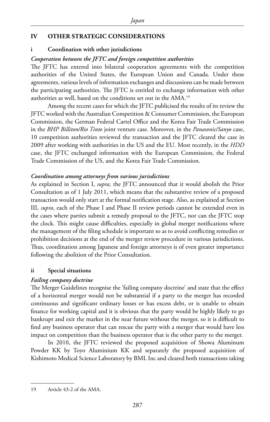#### **IV OTHER STRATEGIC CONSIDERATIONS**

#### **i Coordination with other jurisdictions**

#### *Cooperation between the JFTC and foreign competition authorities*

The JFTC has entered into bilateral cooperation agreements with the competition authorities of the United States, the European Union and Canada. Under these agreements, various levels of information exchanges and discussions can be made between the participating authorities. The JFTC is entitled to exchange information with other authorities as well, based on the conditions set out in the AMA.19

Among the recent cases for which the JFTC publicised the results of its review the JFTC worked with the Australian Competition & Consumer Commission, the European Commission, the German Federal Cartel Office and the Korea Fair Trade Commission in the *BHP Billiton/Rio Tinto* joint venture case. Moreover, in the *Panasonic/Sanyo* case, 10 competition authorities reviewed the transaction and the JFTC cleared the case in 2009 after working with authorities in the US and the EU. Most recently, in the *HDD* case, the JFTC exchanged information with the European Commission, the Federal Trade Commission of the US, and the Korea Fair Trade Commission.

#### *Coordination among attorneys from various jurisdictions*

As explained in Section I, *supra*, the JFTC announced that it would abolish the Prior Consultation as of 1 July 2011, which means that the substantive review of a proposed transaction would only start at the formal notification stage. Also, as explained at Section III, *supra*, each of the Phase I and Phase II review periods cannot be extended even in the cases where parties submit a remedy proposal to the JFTC, nor can the JFTC stop the clock. This might cause difficulties, especially in global merger notifications where the management of the filing schedule is important so as to avoid conflicting remedies or prohibition decisions at the end of the merger review procedure in various jurisdictions. Thus, coordination among Japanese and foreign attorneys is of even greater importance following the abolition of the Prior Consultation.

#### **ii Special situations**

#### *Failing company doctrine*

The Merger Guidelines recognise the 'failing company doctrine' and state that the effect of a horizontal merger would not be substantial if a party to the merger has recorded continuous and significant ordinary losses or has excess debt, or is unable to obtain finance for working capital and it is obvious that the party would be highly likely to go bankrupt and exit the market in the near future without the merger, so it is difficult to find any business operator that can rescue the party with a merger that would have less impact on competition than the business operator that is the other party to the merger.

In 2010, the JFTC reviewed the proposed acquisition of Showa Aluminum Powder KK by Toyo Aluminium KK and separately the proposed acquisition of Kishimoto Medical Science Laboratory by BML Inc and cleared both transactions taking

<sup>19</sup> Article 43-2 of the AMA.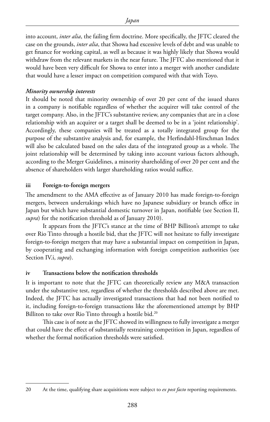into account, *inter alia*, the failing firm doctrine. More specifically, the JFTC cleared the case on the grounds, *inter alia*, that Showa had excessive levels of debt and was unable to get finance for working capital, as well as because it was highly likely that Showa would withdraw from the relevant markets in the near future. The JFTC also mentioned that it would have been very difficult for Showa to enter into a merger with another candidate that would have a lesser impact on competition compared with that with Toyo.

#### *Minority ownership interests*

It should be noted that minority ownership of over 20 per cent of the issued shares in a company is notifiable regardless of whether the acquirer will take control of the target company. Also, in the JFTC's substantive review, any companies that are in a close relationship with an acquirer or a target shall be deemed to be in a 'joint relationship'. Accordingly, these companies will be treated as a totally integrated group for the purpose of the substantive analysis and, for example, the Herfindahl-Hirschman Index will also be calculated based on the sales data of the integrated group as a whole. The joint relationship will be determined by taking into account various factors although, according to the Merger Guidelines, a minority shareholding of over 20 per cent and the absence of shareholders with larger shareholding ratios would suffice.

#### **iii Foreign-to-foreign mergers**

The amendment to the AMA effective as of January 2010 has made foreign-to-foreign mergers, between undertakings which have no Japanese subsidiary or branch office in Japan but which have substantial domestic turnover in Japan, notifiable (see Section II, *supra*) for the notification threshold as of January 2010).

It appears from the JFTC's stance at the time of BHP Billiton's attempt to take over Rio Tinto through a hostile bid, that the JFTC will not hesitate to fully investigate foreign-to-foreign mergers that may have a substantial impact on competition in Japan, by cooperating and exchanging information with foreign competition authorities (see Section IV.i, *supra*).

#### **iv Transactions below the notification thresholds**

It is important to note that the JFTC can theoretically review any M&A transaction under the substantive test, regardless of whether the thresholds described above are met. Indeed, the JFTC has actually investigated transactions that had not been notified to it, including foreign-to-foreign transactions like the aforementioned attempt by BHP Billiton to take over Rio Tinto through a hostile bid.<sup>20</sup>

This case is of note as the JFTC showed its willingness to fully investigate a merger that could have the effect of substantially restraining competition in Japan, regardless of whether the formal notification thresholds were satisfied.

<sup>20</sup> At the time, qualifying share acquisitions were subject to *ex post facto* reporting requirements.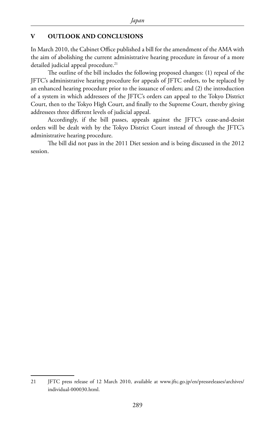#### **V OUTLOOK AND CONCLUSIONS**

In March 2010, the Cabinet Office published a bill for the amendment of the AMA with the aim of abolishing the current administrative hearing procedure in favour of a more detailed judicial appeal procedure.<sup>21</sup>

The outline of the bill includes the following proposed changes: (1) repeal of the JFTC's administrative hearing procedure for appeals of JFTC orders, to be replaced by an enhanced hearing procedure prior to the issuance of orders; and (2) the introduction of a system in which addressees of the JFTC's orders can appeal to the Tokyo District Court, then to the Tokyo High Court, and finally to the Supreme Court, thereby giving addressees three different levels of judicial appeal.

Accordingly, if the bill passes, appeals against the JFTC's cease-and-desist orders will be dealt with by the Tokyo District Court instead of through the JFTC's administrative hearing procedure.

The bill did not pass in the 2011 Diet session and is being discussed in the 2012 session.

<sup>21</sup> JFTC press release of 12 March 2010, available at www.jftc.go.jp/en/pressreleases/archives/ individual-000030.html.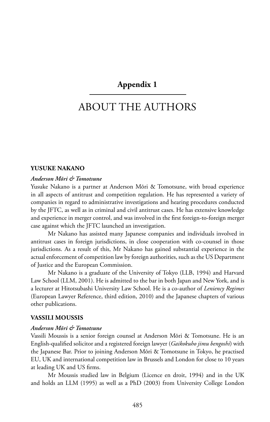#### **Appendix 1**

### About the Authors

#### **Yusuke Nakano**

#### *Anderson Mōri & Tomotsune*

Yusuke Nakano is a partner at Anderson Mōri & Tomotsune, with broad experience in all aspects of antitrust and competition regulation. He has represented a variety of companies in regard to administrative investigations and hearing procedures conducted by the JFTC, as well as in criminal and civil antitrust cases. He has extensive knowledge and experience in merger control, and was involved in the first foreign-to-foreign merger case against which the JFTC launched an investigation.

Mr Nakano has assisted many Japanese companies and individuals involved in antitrust cases in foreign jurisdictions, in close cooperation with co-counsel in those jurisdictions. As a result of this, Mr Nakano has gained substantial experience in the actual enforcement of competition law by foreign authorities, such as the US Department of Justice and the European Commission.

Mr Nakano is a graduate of the University of Tokyo (LLB, 1994) and Harvard Law School (LLM, 2001). He is admitted to the bar in both Japan and New York, and is a lecturer at Hitotsubashi University Law School. He is a co-author of *Leniency Regimes* (European Lawyer Reference, third edition, 2010) and the Japanese chapters of various other publications.

#### **Vassili Moussis**

#### *Anderson Mōri & Tomotsune*

Vassili Moussis is a senior foreign counsel at Anderson Mōri & Tomotsune. He is an English-qualified solicitor and a registered foreign lawyer (*Gaikokuho jimu bengoshi*) with the Japanese Bar. Prior to joining Anderson Mōri & Tomotsune in Tokyo, he practised EU, UK and international competition law in Brussels and London for close to 10 years at leading UK and US firms.

Mr Moussis studied law in Belgium (Licence en droit, 1994) and in the UK and holds an LLM (1995) as well as a PhD (2003) from University College London